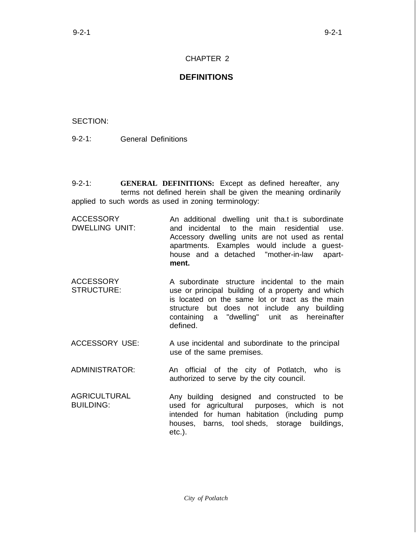## CHAPTER 2

## **DEFINITIONS**

## SECTION:

9-2-1: General Definitions

9-2-1: **GENERAL DEFINITIONS:** Except as defined hereafter, any terms not defined herein shall be given the meaning ordinarily applied to such words as used in zoning terminology:

ACCESSORY DWELLING UNIT: An additional dwelling unit tha.t is subordinate and incidental to the main residential use. Accessory dwelling units are not used as rental apartments. Examples would include a guesthouse and a detached "mother-in-law apart**ment.**

- ACCESSORY STRUCTURE: A subordinate structure incidental to the main use or principal building of a property and which is located on the same lot or tract as the main structure but does not include any building containing a "dwelling" unit as hereinafter defined.
- ACCESSORY USE: A use incidental and subordinate to the principal use of the same premises.

ADMINISTRATOR: An official of the city of Potlatch, who is authorized to serve by the city council.

AGRICULTURAL BUILDING: Any building designed and constructed to be used for agricultural purposes, which is not intended for human habitation (including pump houses, barns, tool sheds, storage buildings, etc.).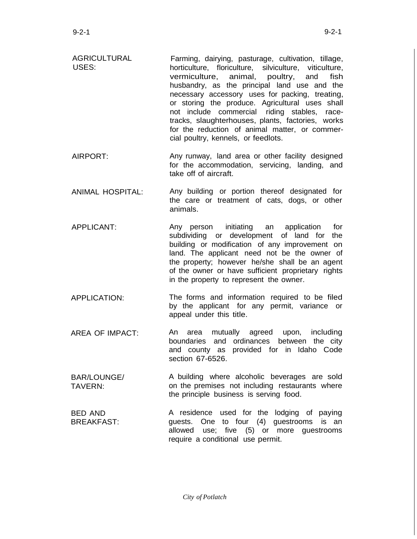- AGRICULTURAL USES: Farming, dairying, pasturage, cultivation, tillage, horticulture, floriculture, silviculture, viticulture, vermiculture, animal, poultry, and fish husbandry, as the principal land use and the necessary accessory uses for packing, treating, or storing the produce. Agricultural uses shall not include commercial riding stables, racetracks, slaughterhouses, plants, factories, works for the reduction of animal matter, or commercial poultry, kennels, or feedlots.
- AIRPORT: Any runway, land area or other facility designed for the accommodation, servicing, landing, and take off of aircraft.
- ANIMAL HOSPITAL: Any building or portion thereof designated for the care or treatment of cats, dogs, or other animals.
- APPLICANT: Any person initiating an application for subdividing or development of land for the building or modification of any improvement on land. The applicant need not be the owner of the property; however he/she shall be an agent of the owner or have sufficient proprietary rights in the property to represent the owner.
- APPLICATION: The forms and information required to be filed by the applicant for any permit, variance or appeal under this title.
- AREA OF IMPACT: An area mutually agreed upon, including boundaries and ordinances between the city and county as provided for in Idaho Code section 67-6526.
- BAR/LOUNGE/ TAVERN: A building where alcoholic beverages are sold on the premises not including restaurants where the principle business is serving food.

BED AND BREAKFAST: A residence used for the lodging of paying guests. One to four (4) guestrooms is an allowed use; five (5) or more guestrooms require a conditional use permit.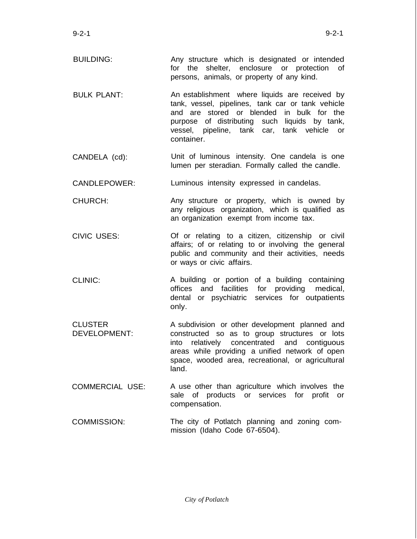- BUILDING: Any structure which is designated or intended for the shelter, enclosure or protection of persons, animals, or property of any kind.
- $B$ ULK PLANT: An establishment where liquids are received by tank, vessel, pipelines, tank car or tank vehicle and are stored or blended in bulk for the purpose of distributing such liquids by tank, vessel, pipeline, tank car, tank vehicle or container.
- CANDELA (cd): Unit of luminous intensity. One candela is one lumen per steradian. Formally called the candle.
- CANDLEPOWER: Luminous intensity expressed in candelas.
- CHURCH: Any structure or property, which is owned by any religious organization, which is qualified as an organization exempt from income tax.
- CIVIC USES: Of or relating to a citizen, citizenship or civil affairs; of or relating to or involving the general public and community and their activities, needs or ways or civic affairs.
- CLINIC: A building or portion of a building containing offices and facilities for providing medical, dental or psychiatric services for outpatients only.
- CLUSTER DEVELOPMENT: A subdivision or other development planned and constructed so as to group structures or lots into relatively concentrated and contiguous areas while providing a unified network of open space, wooded area, recreational, or agricultural land.
- COMMERCIAL USE: A use other than agriculture which involves the sale of products or services for profit or compensation.
- COMMISSION: The city of Potlatch planning and zoning commission (Idaho Code 67-6504).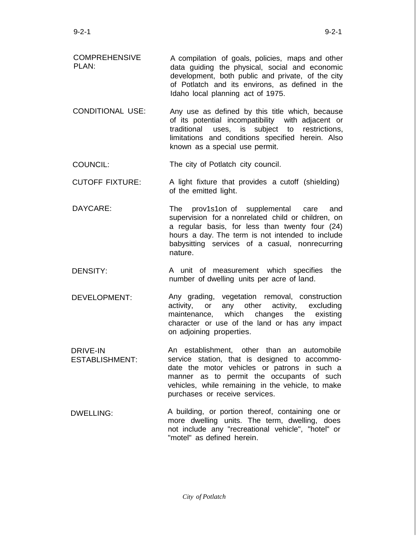- COMPREHENSIVE PLAN: A compilation of goals, policies, maps and other data guiding the physical, social and economic development, both public and private, of the city of Potlatch and its environs, as defined in the Idaho local planning act of 1975.
- CONDITIONAL USE: Any use as defined by this title which, because of its potential incompatibility with adjacent or traditional uses, is subject to restrictions, limitations and conditions specified herein. Also known as a special use permit.

COUNCIL: The city of Potlatch city council.

- CUTOFF FIXTURE: A light fixture that provides a cutoff (shielding) of the emitted light.
- DAYCARE: The prov1s1on of supplemental care and supervision for a nonrelated child or children, on a regular basis, for less than twenty four (24) hours a day. The term is not intended to include babysitting services of a casual, nonrecurring nature.
- DENSITY: A unit of measurement which specifies the number of dwelling units per acre of land.
- DEVELOPMENT: Any grading, vegetation removal, construction activity, or any other activity, excluding maintenance, which changes the existing character or use of the land or has any impact on adjoining properties.
- DRIVE-IN ESTABLISHMENT: An establishment, other than an automobile service station, that is designed to accommodate the motor vehicles or patrons in such a manner as to permit the occupants of such vehicles, while remaining in the vehicle, to make purchases or receive services.
- DWELLING: A building, or portion thereof, containing one or more dwelling units. The term, dwelling, does not include any "recreational vehicle", "hotel" or "motel" as defined herein.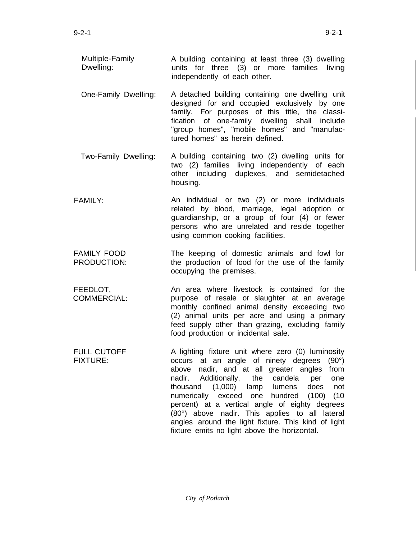- Multiple-Family Dwelling: A building containing at least three (3) dwelling units for three (3) or more families living independently of each other.
- One-Family Dwelling: A detached building containing one dwelling unit designed for and occupied exclusively by one family. For purposes of this title, the classification of one-family dwelling shall include "group homes", "mobile homes" and "manufactured homes" as herein defined.
- Two-Family Dwelling: A building containing two (2) dwelling units for two (2) families living independently of each other including duplexes, and semidetached housing.
- FAMILY: An individual or two (2) or more individuals related by blood, marriage, legal adoption or guardianship, or a group of four (4) or fewer persons who are unrelated and reside together using common cooking facilities.
- FAMILY FOOD PRODUCTION: The keeping of domestic animals and fowl for the production of food for the use of the family occupying the premises.
- FEEDLOT, COMMERCIAL: An area where livestock is contained for the purpose of resale or slaughter at an average monthly confined animal density exceeding two (2) animal units per acre and using a primary feed supply other than grazing, excluding family food production or incidental sale.
- FULL CUTOFF FIXTURE: A lighting fixture unit where zero (0) luminosity occurs at an angle of ninety degrees (90°) above nadir, and at all greater angles from nadir. Additionally, the candela per one thousand (1,000) lamp lumens does not numerically exceed one hundred (100) (10 percent) at a vertical angle of eighty degrees (80°) above nadir. This applies to all lateral angles around the light fixture. This kind of light fixture emits no light above the horizontal.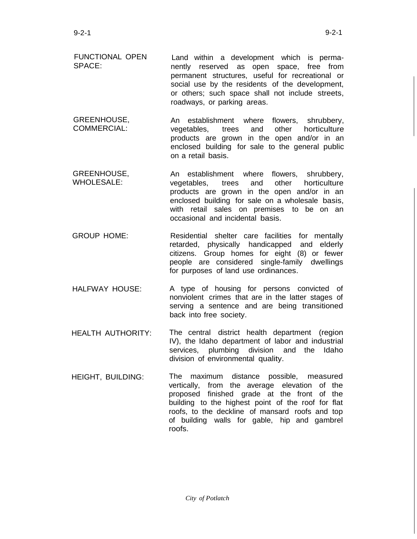- GREENHOUSE, COMMERCIAL: An establishment where flowers, shrubbery, vegetables, trees and other horticulture products are grown in the open and/or in an enclosed building for sale to the general public on a retail basis.
- GREENHOUSE, WHOLESALE: An establishment where flowers, shrubbery, vegetables, trees and other horticulture products are grown in the open and/or in an enclosed building for sale on a wholesale basis, with retail sales on premises to be on an occasional and incidental basis.
- GROUP HOME: Residential shelter care facilities for mentally retarded, physically handicapped and elderly citizens. Group homes for eight (8) or fewer people are considered single-family dwellings for purposes of land use ordinances.
- HALFWAY HOUSE: A type of housing for persons convicted of nonviolent crimes that are in the latter stages of serving a sentence and are being transitioned back into free society.
- HEALTH AUTHORITY: The central district health department (region IV), the Idaho department of labor and industrial services, plumbing division and the Idaho division of environmental quality.
- HEIGHT, BUILDING: The maximum distance possible, measured vertically, from the average elevation of the proposed finished grade at the front of the building to the highest point of the roof for flat roofs, to the deckline of mansard roofs and top of building walls for gable, hip and gambrel roofs.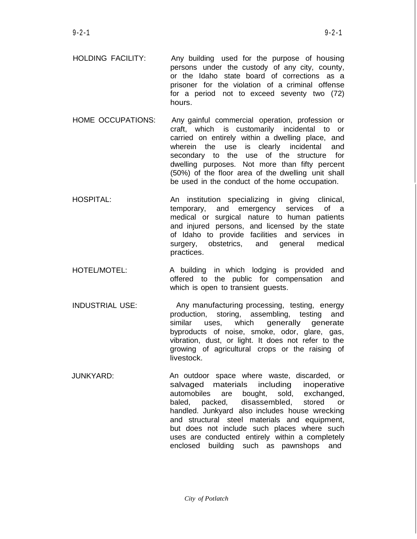- HOLDING FACILITY: Any building used for the purpose of housing persons under the custody of any city, county, or the Idaho state board of corrections as a prisoner for the violation of a criminal offense for a period not to exceed seventy two (72) hours.
- HOME OCCUPATIONS: Any gainful commercial operation, profession or craft, which is customarily incidental to or carried on entirely within a dwelling place, and wherein the use is clearly incidental and secondary to the use of the structure for dwelling purposes. Not more than fifty percent (50%) of the floor area of the dwelling unit shall be used in the conduct of the home occupation.
- HOSPITAL: An institution specializing in giving clinical, temporary, and emergency services of a medical or surgical nature to human patients and injured persons, and licensed by the state of Idaho to provide facilities and services in surgery, obstetrics, and general medical practices.
- HOTEL/MOTEL: A building in which lodging is provided and offered to the public for compensation and which is open to transient quests.
- INDUSTRIAL USE: Any manufacturing processing, testing, energy production, storing, assembling, testing and similar uses, which generally generate byproducts of noise, smoke, odor, glare, gas, vibration, dust, or light. It does not refer to the growing of agricultural crops or the raising of livestock.
- JUNKYARD: An outdoor space where waste, discarded, or salvaged materials including inoperative automobiles are bought, sold, exchanged, baled, packed, disassembled, stored or handled. Junkyard also includes house wrecking and structural steel materials and equipment, but does not include such places where such uses are conducted entirely within a completely enclosed building such as pawnshops and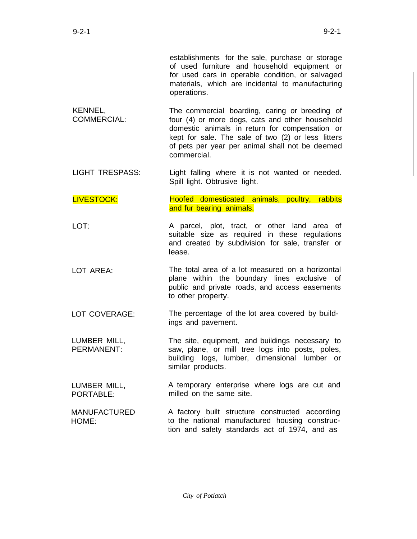establishments for the sale, purchase or storage of used furniture and household equipment or for used cars in operable condition, or salvaged materials, which are incidental to manufacturing operations.

- KENNEL, COMMERCIAL: The commercial boarding, caring or breeding of four (4) or more dogs, cats and other household domestic animals in return for compensation or kept for sale. The sale of two (2) or less litters of pets per year per animal shall not be deemed commercial.
- LIGHT TRESPASS: Light falling where it is not wanted or needed. Spill light. Obtrusive light.

LIVESTOCK: Hoofed domesticated animals, poultry, rabbits and fur bearing animals.

- LOT: A parcel, plot, tract, or other land area of suitable size as required in these regulations and created by subdivision for sale, transfer or lease.
- LOT AREA: The total area of a lot measured on a horizontal plane within the boundary lines exclusive of public and private roads, and access easements to other property.
- LOT COVERAGE: The percentage of the lot area covered by buildings and pavement.
- LUMBER MILL, PERMANENT: The site, equipment, and buildings necessary to saw, plane, or mill tree logs into posts, poles, building logs, lumber, dimensional lumber or similar products.
- LUMBER MILL, PORTABLE<sup>.</sup> A temporary enterprise where logs are cut and milled on the same site.
- MANUFACTURED HOME: A factory built structure constructed according to the national manufactured housing construction and safety standards act of 1974, and as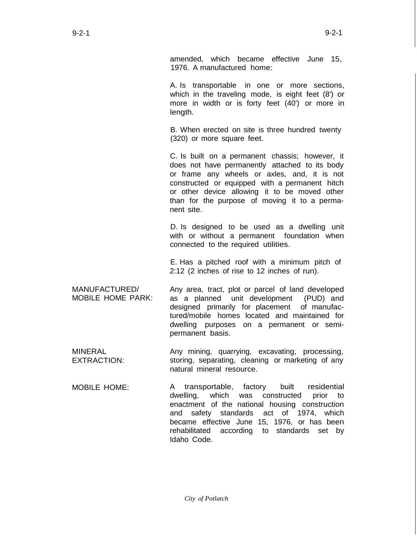amended, which became effective June 15, 1976. A manufactured home:

A. Is transportable in one or more sections, which in the traveling mode, is eight feet (8') or more in width or is forty feet (40') or more in length.

B. When erected on site is three hundred twenty (320) or more square feet.

C. Is built on a permanent chassis; however, it does not have permanently attached to its body or frame any wheels or axles, and, it is not constructed or equipped with a permanent hitch or other device allowing it to be moved other than for the purpose of moving it to a permanent site.

D. Is designed to be used as a dwelling unit with or without a permanent foundation when connected to the required utilities.

E. Has a pitched roof with a minimum pitch of 2:12 (2 inches of rise to 12 inches of run).

MANUFACTURED/ MOBILE HOME PARK: Any area, tract, plot or parcel of land developed as a planned unit development (PUD) and designed primarily for placement of manufactured/mobile homes located and maintained for dwelling purposes on a permanent or semipermanent basis.

- MINERAL EXTRACTION: Any mining, quarrying, excavating, processing, storing, separating, cleaning or marketing of any natural mineral resource.
- MOBILE HOME: A transportable, factory built residential dwelling, which was constructed prior to enactment of the national housing construction and safety standards act of 1974, which became effective June 15, 1976, or has been rehabilitated according to standards set by Idaho Code.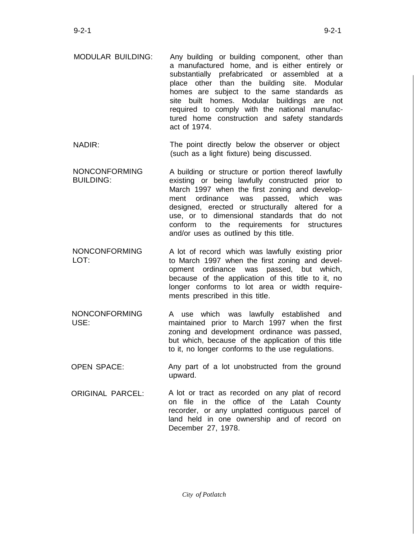- MODULAR BUILDING: Any building or building component, other than a manufactured home, and is either entirely or substantially prefabricated or assembled at a place other than the building site. Modular homes are subject to the same standards as site built homes. Modular buildings are not required to comply with the national manufactured home construction and safety standards act of 1974.
- NADIR: The point directly below the observer or object (such as a light fixture) being discussed.
- NONCONFORMING BUILDING: A building or structure or portion thereof lawfully existing or being lawfully constructed prior to March 1997 when the first zoning and development ordinance was passed, which was designed, erected or structurally altered for a use, or to dimensional standards that do not conform to the requirements for structures and/or uses as outlined by this title.
- NONCONFORMING LOT: A lot of record which was lawfully existing prior to March 1997 when the first zoning and development ordinance was passed, but which, because of the application of this title to it, no longer conforms to lot area or width requirements prescribed in this title.
- NONCONFORMING USE: A use which was lawfully established and maintained prior to March 1997 when the first zoning and development ordinance was passed, but which, because of the application of this title to it, no longer conforms to the use regulations.
- OPEN SPACE: Any part of a lot unobstructed from the ground upward.
- ORIGINAL PARCEL: A lot or tract as recorded on any plat of record on file in the office of the Latah County recorder, or any unplatted contiguous parcel of land held in one ownership and of record on December 27, 1978.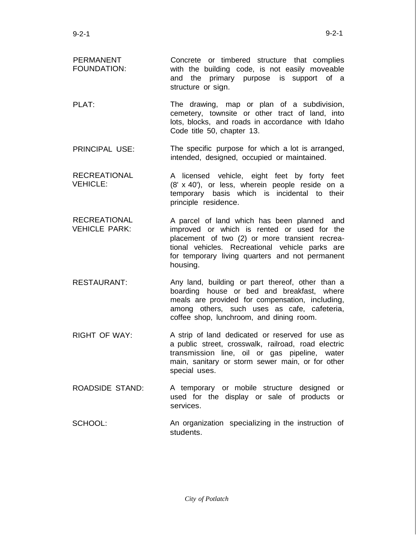- PERMANENT FOUNDATION: Concrete or timbered structure that complies with the building code, is not easily moveable and the primary purpose is support of a structure or sign.
- PI AT<sup>.</sup> The drawing, map or plan of a subdivision, cemetery, townsite or other tract of land, into lots, blocks, and roads in accordance with Idaho Code title 50, chapter 13.
- PRINCIPAL USE: The specific purpose for which a lot is arranged, intended, designed, occupied or maintained.
- RECREATIONAL VEHICLE: A licensed vehicle, eight feet by forty feet (8' x 40'), or less, wherein people reside on a temporary basis which is incidental to their principle residence.
- **RECREATIONAL** VEHICLE PARK: A parcel of land which has been planned and improved or which is rented or used for the placement of two (2) or more transient recreational vehicles. Recreational vehicle parks are for temporary living quarters and not permanent housing.
- RESTAURANT: Any land, building or part thereof, other than a boarding house or bed and breakfast, where meals are provided for compensation, including, among others, such uses as cafe, cafeteria, coffee shop, lunchroom, and dining room.
- RIGHT OF WAY: A strip of land dedicated or reserved for use as a public street, crosswalk, railroad, road electric transmission line, oil or gas pipeline, water main, sanitary or storm sewer main, or for other special uses.
- ROADSIDE STAND: A temporary or mobile structure designed or used for the display or sale of products or services.
- SCHOOL: An organization specializing in the instruction of students.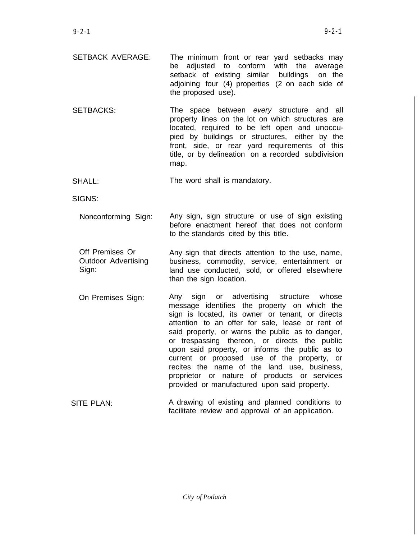- SETBACK AVERAGE: The minimum front or rear yard setbacks may be adjusted to conform with the average setback of existing similar buildings on the adjoining four (4) properties (2 on each side of the proposed use).
- SETBACKS: The space between *every* structure and all property lines on the lot on which structures are located, required to be left open and unoccupied by buildings or structures, either by the front, side, or rear yard requirements of this title, or by delineation on a recorded subdivision map.

SHALL: The word shall is mandatory.

SIGNS:

- Nonconforming Sign: Any sign, sign structure or use of sign existing before enactment hereof that does not conform to the standards cited by this title.
- Off Premises Or Outdoor Advertising Sign: Any sign that directs attention to the use, name, business, commodity, service, entertainment or land use conducted, sold, or offered elsewhere than the sign location.
- On Premises Sign: Any sign or advertising structure whose message identifies the property on which the sign is located, its owner or tenant, or directs attention to an offer for sale, lease or rent of said property, or warns the public as to danger, or trespassing thereon, or directs the public upon said property, or informs the public as to current or proposed use of the property, or recites the name of the land use, business, proprietor or nature of products or services provided or manufactured upon said property.
- SITE PLAN: A drawing of existing and planned conditions to facilitate review and approval of an application.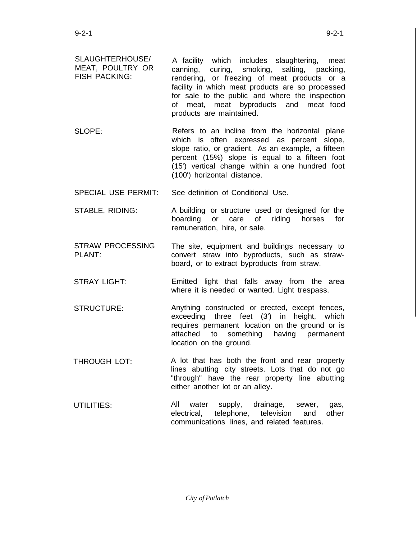- SLAUGHTERHOUSE/ MEAT, POULTRY OR FISH PACKING: A facility which includes slaughtering, meat canning, curing, smoking, salting, packing, rendering, or freezing of meat products or a facility in which meat products are so processed for sale to the public and where the inspection of meat, meat byproducts and meat food products are maintained.
- SLOPE: Refers to an incline from the horizontal plane which is often expressed as percent slope, slope ratio, or gradient. As an example, a fifteen percent (15%) slope is equal to a fifteen foot (15') vertical change within a one hundred foot (100') horizontal distance.
- SPECIAL USE PERMIT: See definition of Conditional Use.
- STABLE, RIDING: A building or structure used or designed for the boarding or care of riding horses for remuneration, hire, or sale.
- STRAW PROCESSING PLANT: The site, equipment and buildings necessary to convert straw into byproducts, such as strawboard, or to extract byproducts from straw.
- STRAY LIGHT: Emitted light that falls away from the area where it is needed or wanted. Light trespass.
- STRUCTURE: Anything constructed or erected, except fences, exceeding three feet (3') in height, which requires permanent location on the ground or is attached to something having permanent location on the ground.
- THROUGH LOT: A lot that has both the front and rear property lines abutting city streets. Lots that do not go "through" have the rear property line abutting either another lot or an alley.
- UTILITIES: All water supply, drainage, sewer, gas, electrical, telephone, television and other communications lines, and related features.